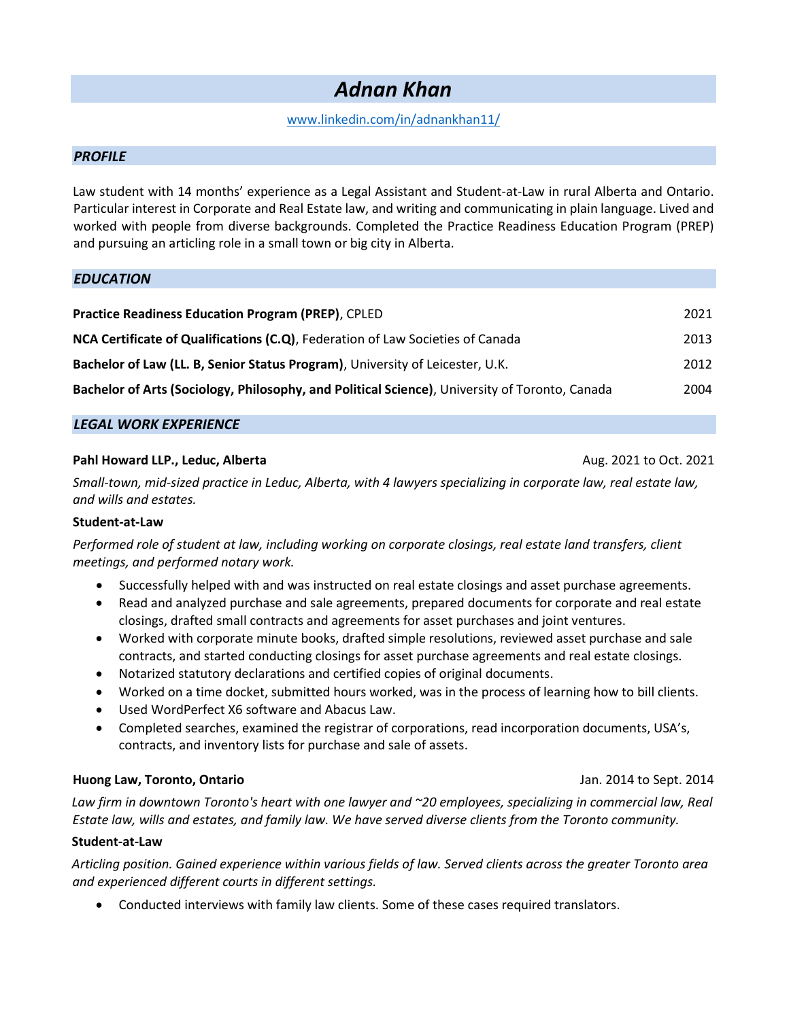# Adnan Khan

# www.linkedin.com/in/adnankhan11/

## PROFILE

Law student with 14 months' experience as a Legal Assistant and Student-at-Law in rural Alberta and Ontario. Particular interest in Corporate and Real Estate law, and writing and communicating in plain language. Lived and worked with people from diverse backgrounds. Completed the Practice Readiness Education Program (PREP) and pursuing an articling role in a small town or big city in Alberta.

## **EDUCATION**

| <b>Practice Readiness Education Program (PREP), CPLED</b>                                      | 2021 |
|------------------------------------------------------------------------------------------------|------|
| NCA Certificate of Qualifications (C.Q), Federation of Law Societies of Canada                 | 2013 |
| Bachelor of Law (LL. B, Senior Status Program), University of Leicester, U.K.                  | 2012 |
| Bachelor of Arts (Sociology, Philosophy, and Political Science), University of Toronto, Canada | 2004 |

# LEGAL WORK EXPERIENCE

## Pahl Howard LLP., Leduc, Alberta Aug. 2021 to Oct. 2021 to Oct. 2021 to Oct. 2021

Small-town, mid-sized practice in Leduc, Alberta, with 4 lawyers specializing in corporate law, real estate law, and wills and estates.

#### Student-at-Law

Performed role of student at law, including working on corporate closings, real estate land transfers, client meetings, and performed notary work.

- Successfully helped with and was instructed on real estate closings and asset purchase agreements.
- Read and analyzed purchase and sale agreements, prepared documents for corporate and real estate closings, drafted small contracts and agreements for asset purchases and joint ventures.
- Worked with corporate minute books, drafted simple resolutions, reviewed asset purchase and sale contracts, and started conducting closings for asset purchase agreements and real estate closings.
- Notarized statutory declarations and certified copies of original documents.
- Worked on a time docket, submitted hours worked, was in the process of learning how to bill clients.
- Used WordPerfect X6 software and Abacus Law.
- Completed searches, examined the registrar of corporations, read incorporation documents, USA's, contracts, and inventory lists for purchase and sale of assets.

#### Huong Law, Toronto, Ontario Jan. 2014 to Sept. 2014

Law firm in downtown Toronto's heart with one lawyer and ~20 employees, specializing in commercial law, Real Estate law, wills and estates, and family law. We have served diverse clients from the Toronto community.

#### Student-at-Law

Articling position. Gained experience within various fields of law. Served clients across the greater Toronto area and experienced different courts in different settings.

Conducted interviews with family law clients. Some of these cases required translators.